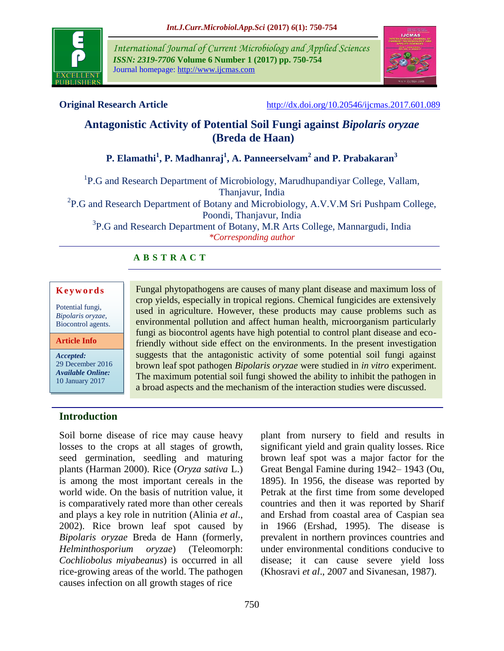

*International Journal of Current Microbiology and Applied Sciences ISSN: 2319-7706* **Volume 6 Number 1 (2017) pp. 750-754** Journal homepage: http://www.ijcmas.com



**Original Research Article** <http://dx.doi.org/10.20546/ijcmas.2017.601.089>

# **Antagonistic Activity of Potential Soil Fungi against** *Bipolaris oryzae* **(Breda de Haan)**

**P. Elamathi<sup>1</sup> , P. Madhanraj<sup>1</sup> , A. Panneerselvam<sup>2</sup> and P. Prabakaran<sup>3</sup>**

<sup>1</sup>P.G and Research Department of Microbiology, Marudhupandiyar College, Vallam, Thanjavur, India <sup>2</sup>P.G and Research Department of Botany and Microbiology, A.V.V.M Sri Pushpam College, Poondi, Thanjavur, India

<sup>3</sup>P.G and Research Department of Botany, M.R Arts College, Mannargudi, India *\*Corresponding author*

# **A B S T R A C T**

#### **K e y w o r d s**

Potential fungi, *Bipolaris oryzae*, Biocontrol agents.

**Article Info**

*Accepted:*  29 December 2016 *Available Online:* 10 January 2017

Fungal phytopathogens are causes of many plant disease and maximum loss of crop yields, especially in tropical regions. Chemical fungicides are extensively used in agriculture. However, these products may cause problems such as environmental pollution and affect human health, microorganism particularly fungi as biocontrol agents have high potential to control plant disease and ecofriendly without side effect on the environments. In the present investigation suggests that the antagonistic activity of some potential soil fungi against brown leaf spot pathogen *Bipolaris oryzae* were studied in *in vitro* experiment. The maximum potential soil fungi showed the ability to inhibit the pathogen in a broad aspects and the mechanism of the interaction studies were discussed.

### **Introduction**

Soil borne disease of rice may cause heavy losses to the crops at all stages of growth, seed germination, seedling and maturing plants (Harman 2000). Rice (*Oryza sativa* L.) is among the most important cereals in the world wide. On the basis of nutrition value, it is comparatively rated more than other cereals and plays a key role in nutrition (Alinia *et al*., 2002). Rice brown leaf spot caused by *Bipolaris oryzae* Breda de Hann (formerly, *Helminthosporium oryzae*) (Teleomorph: *Cochliobolus miyabeanus*) is occurred in all rice-growing areas of the world. The pathogen causes infection on all growth stages of rice

plant from nursery to field and results in significant yield and grain quality losses. Rice brown leaf spot was a major factor for the Great Bengal Famine during 1942– 1943 (Ou, 1895). In 1956, the disease was reported by Petrak at the first time from some developed countries and then it was reported by Sharif and Ershad from coastal area of Caspian sea in 1966 (Ershad, 1995). The disease is prevalent in northern provinces countries and under environmental conditions conducive to disease; it can cause severe yield loss (Khosravi *et al*., 2007 and Sivanesan, 1987).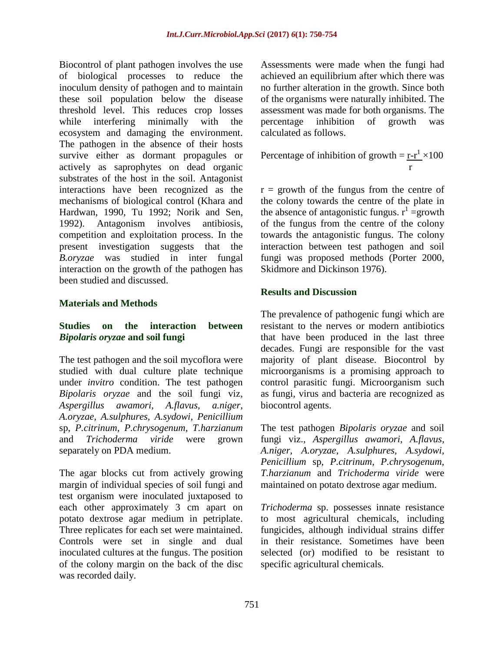Biocontrol of plant pathogen involves the use of biological processes to reduce the inoculum density of pathogen and to maintain these soil population below the disease threshold level. This reduces crop losses while interfering minimally with the ecosystem and damaging the environment. The pathogen in the absence of their hosts survive either as dormant propagules or actively as saprophytes on dead organic substrates of the host in the soil. Antagonist interactions have been recognized as the mechanisms of biological control (Khara and Hardwan, 1990, Tu 1992; Norik and Sen, 1992). Antagonism involves antibiosis, competition and exploitation process. In the present investigation suggests that the *B.oryzae* was studied in inter fungal interaction on the growth of the pathogen has been studied and discussed.

#### **Materials and Methods**

#### **Studies on the interaction between**  *Bipolaris oryzae* **and soil fungi**

The test pathogen and the soil mycoflora were studied with dual culture plate technique under *invitro* condition. The test pathogen *Bipolaris oryzae* and the soil fungi viz, *Aspergillus awamori, A.flavus, a.niger, A.oryzae, A.sulphures, A.sydowi, Penicillium* sp, *P.citrinum, P.chrysogenum, T.harzianum* and *Trichoderma viride* were grown separately on PDA medium.

The agar blocks cut from actively growing margin of individual species of soil fungi and test organism were inoculated juxtaposed to each other approximately 3 cm apart on potato dextrose agar medium in petriplate. Three replicates for each set were maintained. Controls were set in single and dual inoculated cultures at the fungus. The position of the colony margin on the back of the disc was recorded daily.

Assessments were made when the fungi had achieved an equilibrium after which there was no further alteration in the growth. Since both of the organisms were naturally inhibited. The assessment was made for both organisms. The percentage inhibition of growth was calculated as follows.

Percentage of inhibition of growth = 
$$
\frac{r-r^1}{r} \times 100
$$

 $r =$  growth of the fungus from the centre of the colony towards the centre of the plate in the absence of antagonistic fungus.  $r^1$  = growth of the fungus from the centre of the colony towards the antagonistic fungus. The colony interaction between test pathogen and soil fungi was proposed methods (Porter 2000, Skidmore and Dickinson 1976).

### **Results and Discussion**

The prevalence of pathogenic fungi which are resistant to the nerves or modern antibiotics that have been produced in the last three decades. Fungi are responsible for the vast majority of plant disease. Biocontrol by microorganisms is a promising approach to control parasitic fungi. Microorganism such as fungi, virus and bacteria are recognized as biocontrol agents.

The test pathogen *Bipolaris oryzae* and soil fungi viz., *Aspergillus awamori, A.flavus, A.niger, A.oryzae, A.sulphures, A.sydowi, Penicillium* sp, *P.citrinum, P.chrysogenum, T.harzianum* and *Trichoderma viride* were maintained on potato dextrose agar medium.

*Trichoderma* sp. possesses innate resistance to most agricultural chemicals, including fungicides, although individual strains differ in their resistance. Sometimes have been selected (or) modified to be resistant to specific agricultural chemicals.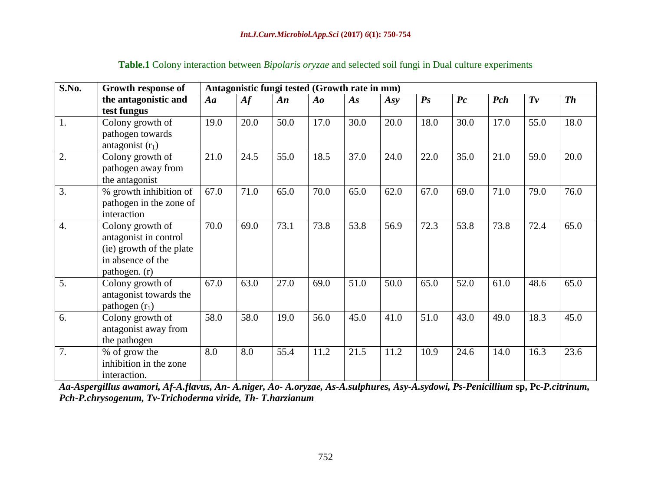| S.No.            | Growth response of       | Antagonistic fungi tested (Growth rate in mm) |      |      |                                |      |      |                    |         |      |         |           |
|------------------|--------------------------|-----------------------------------------------|------|------|--------------------------------|------|------|--------------------|---------|------|---------|-----------|
|                  | the antagonistic and     | $A\mathfrak{a}$                               | A f  | An   | $\boldsymbol{A}\boldsymbol{o}$ | As   | Asy  | $\boldsymbol{P}$ s | $P_{c}$ | Pch  | $T_{V}$ | <b>Th</b> |
|                  | test fungus              |                                               |      |      |                                |      |      |                    |         |      |         |           |
| 1.               | Colony growth of         | 19.0                                          | 20.0 | 50.0 | 17.0                           | 30.0 | 20.0 | 18.0               | 30.0    | 17.0 | 55.0    | 18.0      |
|                  | pathogen towards         |                                               |      |      |                                |      |      |                    |         |      |         |           |
|                  | antagonist $(r_1)$       |                                               |      |      |                                |      |      |                    |         |      |         |           |
| 2.               | Colony growth of         | 21.0                                          | 24.5 | 55.0 | 18.5                           | 37.0 | 24.0 | 22.0               | 35.0    | 21.0 | 59.0    | 20.0      |
|                  | pathogen away from       |                                               |      |      |                                |      |      |                    |         |      |         |           |
|                  | the antagonist           |                                               |      |      |                                |      |      |                    |         |      |         |           |
| 3.               | % growth inhibition of   | 67.0                                          | 71.0 | 65.0 | 70.0                           | 65.0 | 62.0 | 67.0               | 69.0    | 71.0 | 79.0    | 76.0      |
|                  | pathogen in the zone of  |                                               |      |      |                                |      |      |                    |         |      |         |           |
|                  | interaction              |                                               |      |      |                                |      |      |                    |         |      |         |           |
| $\overline{4}$ . | Colony growth of         | 70.0                                          | 69.0 | 73.1 | 73.8                           | 53.8 | 56.9 | 72.3               | 53.8    | 73.8 | 72.4    | 65.0      |
|                  | antagonist in control    |                                               |      |      |                                |      |      |                    |         |      |         |           |
|                  | (ie) growth of the plate |                                               |      |      |                                |      |      |                    |         |      |         |           |
|                  | in absence of the        |                                               |      |      |                                |      |      |                    |         |      |         |           |
|                  | pathogen. (r)            |                                               |      |      |                                |      |      |                    |         |      |         |           |
| 5.               | Colony growth of         | 67.0                                          | 63.0 | 27.0 | 69.0                           | 51.0 | 50.0 | 65.0               | 52.0    | 61.0 | 48.6    | 65.0      |
|                  | antagonist towards the   |                                               |      |      |                                |      |      |                    |         |      |         |           |
|                  | pathogen $(r_1)$         |                                               |      |      |                                |      |      |                    |         |      |         |           |
| 6.               | Colony growth of         | 58.0                                          | 58.0 | 19.0 | 56.0                           | 45.0 | 41.0 | 51.0               | 43.0    | 49.0 | 18.3    | 45.0      |
|                  | antagonist away from     |                                               |      |      |                                |      |      |                    |         |      |         |           |
|                  | the pathogen             |                                               |      |      |                                |      |      |                    |         |      |         |           |
| 7.               | % of grow the            | 8.0                                           | 8.0  | 55.4 | 11.2                           | 21.5 | 11.2 | 10.9               | 24.6    | 14.0 | 16.3    | 23.6      |
|                  | inhibition in the zone   |                                               |      |      |                                |      |      |                    |         |      |         |           |
|                  | interaction.             |                                               |      |      |                                |      |      |                    |         |      |         |           |

## **Table.1** Colony interaction between *Bipolaris oryzae* and selected soil fungi in Dual culture experiments

*Aa-Aspergillus awamori, Af-A.flavus, An- A.niger, Ao- A.oryzae, As-A.sulphures, Asy-A.sydowi, Ps-Penicillium* **sp, Pc-***P.citrinum, Pch-P.chrysogenum, Tv-Trichoderma viride, Th- T.harzianum*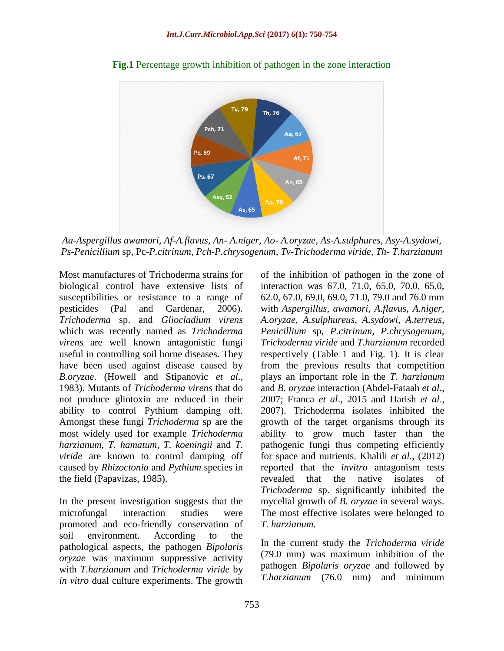

**Fig.1** Percentage growth inhibition of pathogen in the zone interaction

*Aa-Aspergillus awamori, Af-A.flavus, An- A.niger, Ao- A.oryzae, As-A.sulphures, Asy-A.sydowi, Ps-Penicillium* sp, Pc-*P.citrinum, Pch-P.chrysogenum, Tv-Trichoderma viride, Th- T.harzianum*

Most manufactures of Trichoderma strains for biological control have extensive lists of susceptibilities or resistance to a range of pesticides (Pal and Gardenar, 2006). *Trichoderma* sp. and *Gliocladium virens* which was recently named as *Trichoderma virens* are well known antagonistic fungi useful in controlling soil borne diseases. They have been used against disease caused by *B.oryzae*. (Howell and Stipanovic *et al*., 1983). Mutants of *Trichoderma virens* that do not produce gliotoxin are reduced in their ability to control Pythium damping off. Amongst these fungi *Trichoderma* sp are the most widely used for example *Trichoderma harzianum, T. hamatum, T. koeningii* and *T. viride* are known to control damping off caused by *Rhizoctonia* and *Pythium* species in the field (Papavizas, 1985).

In the present investigation suggests that the microfungal interaction studies were promoted and eco-friendly conservation of soil environment. According to the pathological aspects, the pathogen *Bipolaris oryzae* was maximum suppressive activity with *T.harzianum* and *Trichoderma viride* by *in vitro* dual culture experiments. The growth of the inhibition of pathogen in the zone of interaction was 67.0, 71.0, 65.0, 70.0, 65.0, 62.0, 67.0, 69.0, 69.0, 71.0, 79.0 and 76.0 mm with *Aspergillus, awamori, A.flavus, A.niger, A.oryzae, A.sulphureus, A.sydowi, A.terreus, Penicillium* sp, *P.citrinum, P.chrysogenum, Trichoderma viride* and *T.harzianum* recorded respectively (Table 1 and Fig. 1). It is clear from the previous results that competition plays an important role in the *T. harzianum* and *B. oryzae* interaction (Abdel-Fataah *et al*., 2007; Franca *et al*., 2015 and Harish *et al*., 2007). Trichoderma isolates inhibited the growth of the target organisms through its ability to grow much faster than the pathogenic fungi thus competing efficiently for space and nutrients. Khalili *et al*., (2012) reported that the *invitro* antagonism tests revealed that the native isolates of *Trichoderma* sp. significantly inhibited the mycelial growth of *B. oryzae* in several ways. The most effective isolates were belonged to *T. harzianum*.

In the current study the *Trichoderma viride* (79.0 mm) was maximum inhibition of the pathogen *Bipolaris oryzae* and followed by *T.harzianum* (76.0 mm) and minimum